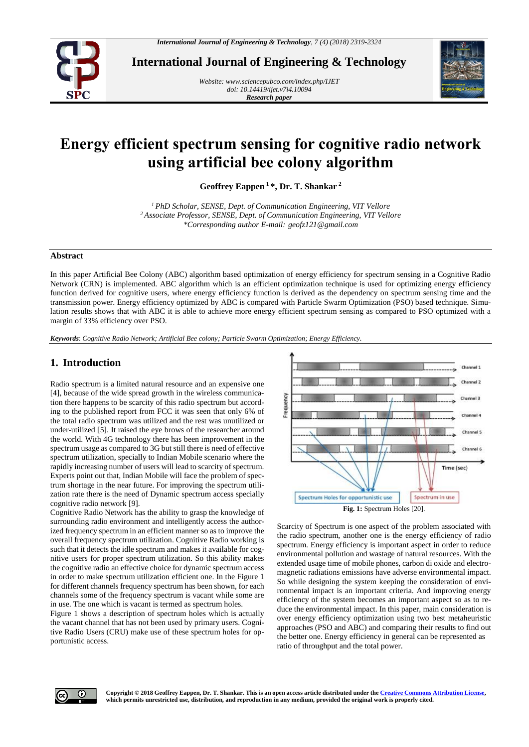

**International Journal of Engineering & Technology**

*Website: www.sciencepubco.com/index.php/IJET doi: 10.14419/ijet.v7i4.10094 Research paper*



# **Energy efficient spectrum sensing for cognitive radio network using artificial bee colony algorithm**

**Geoffrey Eappen <sup>1</sup>\*, Dr. T. Shankar <sup>2</sup>**

*<sup>1</sup>PhD Scholar, SENSE, Dept. of Communication Engineering, VIT Vellore <sup>2</sup>Associate Professor, SENSE, Dept. of Communication Engineering, VIT Vellore \*Corresponding author E-mail: geofz121@gmail.com*

## **Abstract**

In this paper Artificial Bee Colony (ABC) algorithm based optimization of energy efficiency for spectrum sensing in a Cognitive Radio Network (CRN) is implemented. ABC algorithm which is an efficient optimization technique is used for optimizing energy efficiency function derived for cognitive users, where energy efficiency function is derived as the dependency on spectrum sensing time and the transmission power. Energy efficiency optimized by ABC is compared with Particle Swarm Optimization (PSO) based technique. Simulation results shows that with ABC it is able to achieve more energy efficient spectrum sensing as compared to PSO optimized with a margin of 33% efficiency over PSO.

*Keywords*: *Cognitive Radio Network; Artificial Bee colony; Particle Swarm Optimization; Energy Efficiency.*

# **1. Introduction**

Radio spectrum is a limited natural resource and an expensive one [4], because of the wide spread growth in the wireless communication there happens to be scarcity of this radio spectrum but according to the published report from FCC it was seen that only 6% of the total radio spectrum was utilized and the rest was unutilized or under-utilized [5]. It raised the eye brows of the researcher around the world. With 4G technology there has been improvement in the spectrum usage as compared to 3G but still there is need of effective spectrum utilization, specially to Indian Mobile scenario where the rapidly increasing number of users will lead to scarcity of spectrum. Experts point out that, Indian Mobile will face the problem of spectrum shortage in the near future. For improving the spectrum utilization rate there is the need of Dynamic spectrum access specially cognitive radio network [9].

Cognitive Radio Network has the ability to grasp the knowledge of surrounding radio environment and intelligently access the authorized frequency spectrum in an efficient manner so as to improve the overall frequency spectrum utilization. Cognitive Radio working is such that it detects the idle spectrum and makes it available for cognitive users for proper spectrum utilization. So this ability makes the cognitive radio an effective choice for dynamic spectrum access in order to make spectrum utilization efficient one. In the Figure 1 for different channels frequency spectrum has been shown, for each channels some of the frequency spectrum is vacant while some are in use. The one which is vacant is termed as spectrum holes.

Figure 1 shows a description of spectrum holes which is actually the vacant channel that has not been used by primary users. Cognitive Radio Users (CRU) make use of these spectrum holes for opportunistic access.



Scarcity of Spectrum is one aspect of the problem associated with the radio spectrum, another one is the energy efficiency of radio spectrum. Energy efficiency is important aspect in order to reduce environmental pollution and wastage of natural resources. With the extended usage time of mobile phones, carbon di oxide and electromagnetic radiations emissions have adverse environmental impact. So while designing the system keeping the consideration of environmental impact is an important criteria. And improving energy efficiency of the system becomes an important aspect so as to reduce the environmental impact. In this paper, main consideration is over energy efficiency optimization using two best metaheuristic approaches (PSO and ABC) and comparing their results to find out the better one. Energy efficiency in general can be represented as ratio of throughput and the total power.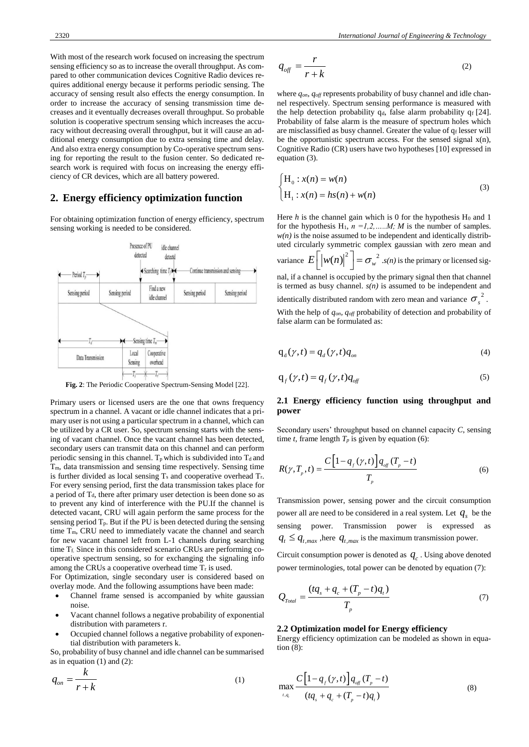With most of the research work focused on increasing the spectrum sensing efficiency so as to increase the overall throughput. As compared to other communication devices Cognitive Radio devices requires additional energy because it performs periodic sensing. The accuracy of sensing result also effects the energy consumption. In order to increase the accuracy of sensing transmission time decreases and it eventually decreases overall throughput. So probable solution is cooperative spectrum sensing which increases the accuracy without decreasing overall throughput, but it will cause an additional energy consumption due to extra sensing time and delay. And also extra energy consumption by Co-operative spectrum sensing for reporting the result to the fusion center. So dedicated research work is required with focus on increasing the energy efficiency of CR devices, which are all battery powered.

## **2. Energy efficiency optimization function**

For obtaining optimization function of energy efficiency, spectrum sensing working is needed to be considered.



**Fig. 2**: The Periodic Cooperative Spectrum-Sensing Model [22].

Primary users or licensed users are the one that owns frequency spectrum in a channel. A vacant or idle channel indicates that a primary user is not using a particular spectrum in a channel, which can be utilized by a CR user. So, spectrum sensing starts with the sensing of vacant channel. Once the vacant channel has been detected, secondary users can transmit data on this channel and can perform periodic sensing in this channel.  $T_p$  which is subdivided into  $T_d$  and Tm, data transmission and sensing time respectively. Sensing time is further divided as local sensing  $T_s$  and cooperative overhead  $T_r$ . For every sensing period, first the data transmission takes place for a period of  $T_d$ , there after primary user detection is been done so as to prevent any kind of interference with the PU.If the channel is detected vacant, CRU will again perform the same process for the sensing period  $T_p$ . But if the PU is been detected during the sensing time T<sub>m</sub>, CRU need to immediately vacate the channel and search for new vacant channel left from L-1 channels during searching time T<sub>f.</sub> Since in this considered scenario CRUs are performing cooperative spectrum sensing, so for exchanging the signaling info among the CRUs a cooperative overhead time  $T_r$  is used.

For Optimization, single secondary user is considered based on overlay mode. And the following assumptions have been made:

- Channel frame sensed is accompanied by white gaussian noise.
- Vacant channel follows a negative probability of exponential distribution with parameters r.
- Occupied channel follows a negative probability of exponential distribution with parameters k.

So, probability of busy channel and idle channel can be summarised as in equation  $(1)$  and  $(2)$ :

$$
q_{on} = \frac{k}{r+k} \tag{1}
$$

$$
q_{\text{off}} = \frac{r}{r+k} \tag{2}
$$

where *qon*, *qoff* represents probability of busy channel and idle channel respectively. Spectrum sensing performance is measured with the help detection probability  $q_d$ , false alarm probability  $q_f$  [24]. Probability of false alarm is the measure of spectrum holes which are misclassified as busy channel. Greater the value of  $q_f$  lesser will be the opportunistic spectrum access. For the sensed signal x(n), Cognitive Radio (CR) users have two hypotheses [10] expressed in equation (3).

$$
\begin{cases} H_0: x(n) = w(n) \\ H_1: x(n) = hs(n) + w(n) \end{cases}
$$
\n(3)

Here  $h$  is the channel gain which is 0 for the hypothesis  $H_0$  and 1 for the hypothesis  $H_1$ ,  $n = 1, 2, \ldots, M$ ; *M* is the number of samples.  $w(n)$  is the noise assumed to be independent and identically distributed circularly symmetric complex gaussian with zero mean and variance  $E\left[\left|w(n)\right|^2\right] = \sigma_w^2$  .*s(n)* is the primary or licensed signal, if a channel is occupied by the primary signal then that channel is termed as busy channel. *s(n)* is assumed to be independent and identically distributed random with zero mean and variance  $\sigma_s^2$ . With the help of *qon, qoff* probability of detection and probability of false alarm can be formulated as:

$$
q_d(\gamma, t) = q_d(\gamma, t) q_{on} \tag{4}
$$

$$
q_f(\gamma, t) = q_f(\gamma, t) q_{off} \tag{5}
$$

## **2.1 Energy efficiency function using throughput and power**

Secondary users' throughput based on channel capacity *C*, sensing time *t*, frame length  $T_p$  is given by equation (6):

$$
R(\gamma, T_p, t) = \frac{C\left[1 - q_f(\gamma, t)\right]q_{\text{off}}(T_p - t)}{T_p}
$$
(6)

Transmission power, sensing power and the circuit consumption power all are need to be considered in a real system. Let  $q_s$  be the sensing power. Transmission power is expressed as  $q_t \leq q_{t, max}$ , here  $q_{t, max}$  is the maximum transmission power.

Circuit consumption power is denoted as  $q_c$ . Using above denoted power terminologies, total power can be denoted by equation (7):

$$
Q_{\text{Total}} = \frac{(tq_s + q_c + (T_p - t)q_t)}{T_p} \tag{7}
$$

#### **2.2 Optimization model for Energy efficiency**

Energy efficiency optimization can be modeled as shown in equation (8):

$$
\max_{t,q_i} \frac{C\Big[1-q_{f}(\gamma,t)\Big]q_{\text{eff}}(T_p-t)}{(tq_{s}+q_{c}+(T_p-t)q_{t})}
$$
(8)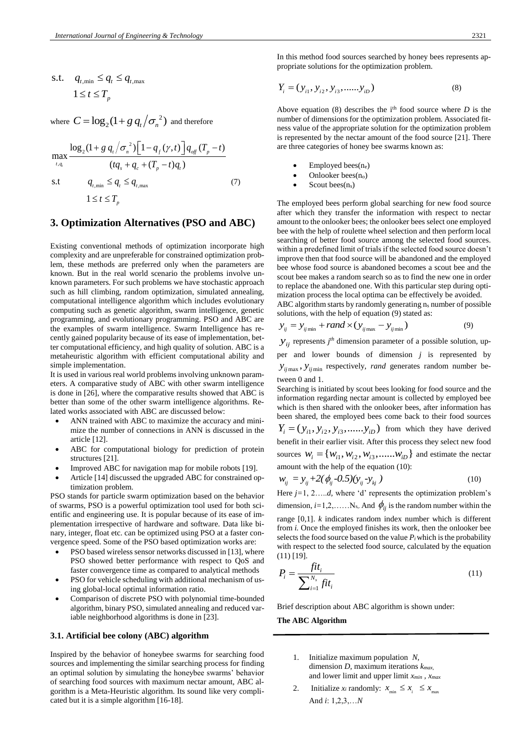$$
\begin{aligned} \text{s.t.} \quad & q_{t,\min} \le q_t \le q_{t,\max} \\ & 1 \le t \le T_p \end{aligned}
$$

where  $C = \log_2(1 + g q_t / \sigma_n^2)$  $C = \log_2(1 + g \, q_t / \sigma_n^{-2})$  and therefore

$$
\max_{t, q_t} \frac{\log_2(1 + g q_t / \sigma_n^2) \left[1 - q_f(\gamma, t)\right] q_{\text{off}}(T_p - t)}{(tq_s + q_c + (T_p - t)q_t)}
$$
\n
$$
\text{s.t} \qquad q_{t, \text{min}} \le q_t \le q_{t, \text{max}} \tag{7}
$$

$$
\begin{aligned} \text{s.t} \qquad & q_{t,\min} \le q_t \le q_{t,\max} \qquad \qquad (7) \\ & 1 \le t \le T_p \end{aligned}
$$

## **3. Optimization Alternatives (PSO and ABC)**

Existing conventional methods of optimization incorporate high complexity and are unpreferable for constrained optimization problem, these methods are preferred only when the parameters are known. But in the real world scenario the problems involve unknown parameters. For such problems we have stochastic approach such as hill climbing, random optimization, simulated annealing, computational intelligence algorithm which includes evolutionary computing such as genetic algorithm, swarm intelligence, genetic programming, and evolutionary programming. PSO and ABC are the examples of swarm intelligence. Swarm Intelligence has recently gained popularity because of its ease of implementation, better computational efficiency, and high quality of solution. ABC is a metaheuristic algorithm with efficient computational ability and simple implementation.

It is used in various real world problems involving unknown parameters. A comparative study of ABC with other swarm intelligence is done in [26], where the comparative results showed that ABC is better than some of the other swarm intelligence algorithms. Related works associated with ABC are discussed below:

- ANN trained with ABC to maximize the accuracy and minimize the number of connections in ANN is discussed in the article [12].
- ABC for computational biology for prediction of protein structures [21].
- Improved ABC for navigation map for mobile robots [19].
- Article [14] discussed the upgraded ABC for constrained optimization problem.

PSO stands for particle swarm optimization based on the behavior of swarms, PSO is a powerful optimization tool used for both scientific and engineering use. It is popular because of its ease of implementation irrespective of hardware and software. Data like binary, integer, float etc. can be optimized using PSO at a faster convergence speed. Some of the PSO based optimization works are:

- PSO based wireless sensor networks discussed in [13], where PSO showed better performance with respect to QoS and faster convergence time as compared to analytical methods
- PSO for vehicle scheduling with additional mechanism of using global-local optimal information ratio.
- Comparison of discrete PSO with polynomial time-bounded algorithm, binary PSO, simulated annealing and reduced variable neighborhood algorithms is done in [23].

#### **3.1. Artificial bee colony (ABC) algorithm**

Inspired by the behavior of honeybee swarms for searching food sources and implementing the similar searching process for finding an optimal solution by simulating the honeybee swarms' behavior of searching food sources with maximum nectar amount, ABC algorithm is a Meta-Heuristic algorithm. Its sound like very complicated but it is a simple algorithm [16-18].

In this method food sources searched by honey bees represents appropriate solutions for the optimization problem.

$$
Y_i = (y_{i1}, y_{i2}, y_{i3}, \dots, y_{iD})
$$
\n(8)

Above equation (8) describes the  $i<sup>th</sup>$  food source where *D* is the number of dimensions for the optimization problem. Associated fitness value of the appropriate solution for the optimization problem is represented by the nectar amount of the food source [21]. There are three categories of honey bee swarms known as:

- $Emploved bees(n_e)$
- Onlooker bees(no)
- Scout bees $(n_s)$

The employed bees perform global searching for new food source after which they transfer the information with respect to nectar amount to the onlooker bees; the onlooker bees select one employed bee with the help of roulette wheel selection and then perform local searching of better food source among the selected food sources. within a predefined limit of trials if the selected food source doesn't improve then that food source will be abandoned and the employed bee whose food source is abandoned becomes a scout bee and the scout bee makes a random search so as to find the new one in order to replace the abandoned one. With this particular step during optimization process the local optima can be effectively be avoided.

ABC algorithm starts by randomly generating ns number of possible

solutions, with the help of equation (9) stated as:  
\n
$$
y_{ij} = y_{ij \text{ min}} + rand \times (y_{ij \text{ max}} - y_{ij \text{ min}})
$$
\n(9)

 $y_{ij}$  represents  $j<sup>th</sup>$  dimension parameter of a possible solution, up-

per and lower bounds of dimension *j* is represented by  $y_{ij \text{max}}$ ,  $y_{ij \text{min}}$  respectively, *rand* generates random number between 0 and 1.

Searching is initiated by scout bees looking for food source and the information regarding nectar amount is collected by employed bee which is then shared with the onlooker bees, after information has been shared, the employed bees come back to their food sources  $Y_i = (y_{i1}, y_{i2}, y_{i3}, \dots, y_{iD})$  from which they have derived benefit in their earlier visit. After this process they select new food sources  $W_i = \{W_{i1}, W_{i2}, W_{i3}, \dots, W_{iD}\}\$  and estimate the nectar amount with the help of the equation (10):

$$
w_{ij} = y_{ij} + 2(\phi_{ij} - 0.5)(y_{ij} - y_{kj})
$$
 (10)

Here *j*=1, 2.....*d*, where 'd' represents the optimization problem's dimension,  $i=1,2,......N_{s}$ . And  $\phi_{ij}$  is the random number within the range [0,1]. *k* indicates random index number which is different from *i.* Once the employed finishes its work, then the onlooker bee selects the food source based on the value  $P_i$  which is the probability with respect to the selected food source, calculated by the equation (11) [19].

$$
P_i = \frac{fit_i}{\sum_{i=1}^{N_s} fit_i}
$$
\n(11)

Brief description about ABC algorithm is shown under:

**The ABC Algorithm**

- 1. Initialize maximum population *N,* dimension *D,* maximum iterations *kmax,* and lower limit and upper limit *xmin , xmax*
- 2. Initialize  $x_i$  randomly:  $x_{\min} \le x_i \le x_{\max}$ And *i*: 1,2,3,…*N*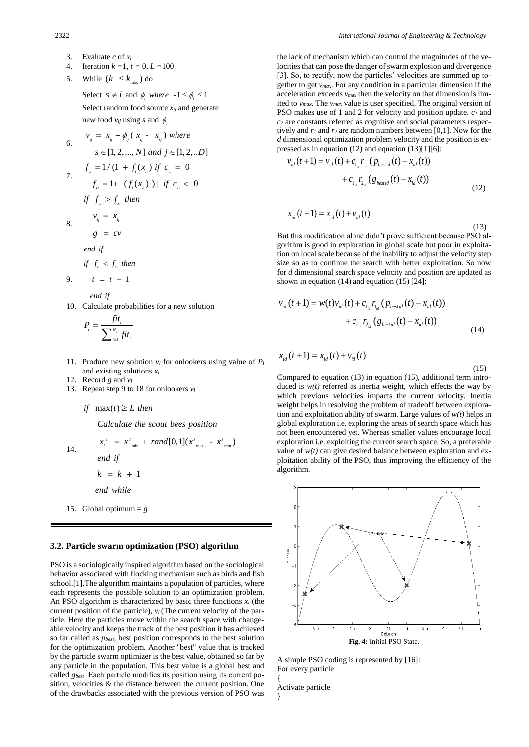- 3. Evaluate *c* of *x<sup>i</sup>*
- 4. Iteration *k =*1, *t =* 0, *L =*100
- 5. While  $(k \leq k_{\text{max}})$  do

Select  $s \neq i$  and  $\phi_i$  where  $-1 \leq \phi_i \leq 1$ Select random food source *xij* and generate new food  $v_{ij}$  using *s* and  $\phi$ 

6. 
$$
v_{ij} = x_{ij} + \phi_{ij} (x_{ij} - x_{sj}) \text{ where}
$$
  
\n
$$
s \in [1, 2, ..., N] \text{ and } j \in [1, 2, ...D]
$$
  
\n7. 
$$
f_{vi} = 1/(1 + f_i(x_n) \text{ if } c_{vi} = 0
$$
  
\n
$$
f_{vi} = 1 + | (f_i(x_n)) | \text{ if } c_{vi} < 0
$$
  
\n
$$
\text{if } f_{vi} > f_{xi} \text{ then}
$$
  
\n
$$
v_{ii} = x_{ii}
$$

8.

9.

$$
g =
$$

*end if*

$$
if \t f_{\scriptscriptstyle vi} < f_{\scriptscriptstyle xi} \t then
$$

*ij ij*

 $c$ *v* 

 $t = t + 1$ 

 *end if* 

10. Calculate probabilities for a new solution

$$
P_i = \frac{fit_i}{\sum_{i=1}^{N_s} fit_i}
$$

- 11. Produce new solution  $v_i$  for onlookers using value of  $P_i$ and existing solutions *x<sup>i</sup>*
- 12. Record *g* and  $v_i$
- 13. Repeat step 9 to 18 for onlookers *v<sup>i</sup>*
	- *if*  $max(t) \ge L$  *then*

 $x_i^j = x_{\min}^j + rand[0,1](x_{\max}^j - x_{\min}^j)$  *Calculate the scout bees position* 

14.

 *end if* 

 $k = k + 1$ 

 *end while*

15. Global optimum  $= g$ 

## **3.2. Particle swarm optimization (PSO) algorithm**

PSO is a sociologically inspired algorithm based on the sociological behavior associated with flocking mechanism such as birds and fish school.[1].The algorithm maintains a population of particles, where each represents the possible solution to an optimization problem. An PSO algorithm is characterized by basic three functions *x<sup>i</sup>* (the current position of the particle), *vi* (The current velocity of the particle. Here the particles move within the search space with changeable velocity and keeps the track of the best position it has achieved so far called as *pbest*, best position corresponds to the best solution for the optimization problem. Another "best" value that is tracked by the particle swarm optimizer is the best value, obtained so far by any particle in the population. This best value is a global best and called *gbest*. Each particle modifies its position using its current position, velocities & the distance between the current position. One of the drawbacks associated with the previous version of PSO was the lack of mechanism which can control the magnitudes of the velocities that can pose the danger of swarm explosion and divergence [3]. So, to rectify, now the particles' velocities are summed up together to get *vmax*. For any condition in a particular dimension if the acceleration exceeds *vmax* then the velocity on that dimension is limited to *vmax*. The *vmax* value is user specified. The original version of PSO makes use of 1 and 2 for velocity and position update. *c<sup>1</sup>* and *c<sup>2</sup>* are constants referred as cognitive and social parameters respectively and *r<sup>1</sup>* and *r<sup>2</sup>* are random numbers between [0,1]. Now for the *d* dimensional optimization problem velocity and the position is ex-

pressed as in equation (12) and equation (13)[1][6]:  
\n
$$
v_{id}(t+1) = v_{id}(t) + c_{1_{id}} r_{1_{id}} (p_{bestid}(t) - x_{id}(t)) + c_{2_{id}} r_{2_{id}} (g_{bestid}(t) - x_{id}(t))
$$
\n(12)

$$
x_{_{id}}(t+1) = x_{_{id}}(t) + v_{_{id}}(t)
$$

 (13) But this modification alone didn't prove sufficient because PSO algorithm is good in exploration in global scale but poor in exploitation on local scale because of the inability to adjust the velocity step size so as to continue the search with better exploitation. So now for *d* dimensional search space velocity and position are updated as shown in equation (14) and equation (15) [24]:

$$
v_{id}(t+1) = w(t)v_{id}(t) + c_{1_{id}}r_{1_{id}}(p_{\text{besid}}(t) - x_{id}(t))
$$
  
+ 
$$
c_{2_{id}}r_{2_{id}}(g_{\text{besrid}}(t) - x_{id}(t))
$$
 (14)

$$
x_{_{id}}(t+1) = x_{_{id}}(t) + v_{_{id}}(t)
$$

(15)

Compared to equation (13) in equation (15), additional term introduced is  $w(t)$  referred as inertia weight, which effects the way by which previous velocities impacts the current velocity. Inertia weight helps in resolving the problem of tradeoff between exploration and exploitation ability of swarm. Large values of *w(t)* helps in global exploration i.e. exploring the areas of search space which has not been encountered yet. Whereas smaller values encourage local exploration i.e. exploiting the current search space. So, a preferable value of  $w(t)$  can give desired balance between exploration and exploitation ability of the PSO, thus improving the efficiency of the algorithm.



A simple PSO coding is represented by [16]: For every particle

Activate particle }

{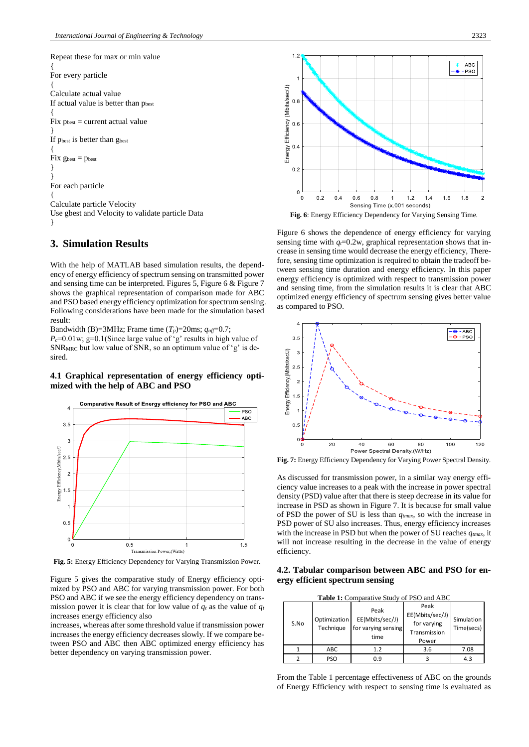Repeat these for max or min value { For every particle { Calculate actual value If actual value is better than pbest {  $Fix p_{best} = current actual value$ } If pbest is better than gbest {  $Fix g_{best} = p_{best}$ } } For each particle { Calculate particle Velocity Use gbest and Velocity to validate particle Data }

# **3. Simulation Results**

With the help of MATLAB based simulation results, the dependency of energy efficiency of spectrum sensing on transmitted power and sensing time can be interpreted. Figures 5, Figure 6 & Figure 7 shows the graphical representation of comparison made for ABC and PSO based energy efficiency optimization for spectrum sensing. Following considerations have been made for the simulation based result:

Bandwidth (B)=3MHz; Frame time  $(T_p)$ =20ms;  $q_{off}=0.7$ ;

 $P_c$ =0.01w; g=0.1(Since large value of 'g' results in high value of SNRMRC but low value of SNR, so an optimum value of 'g' is desired.

## **4.1 Graphical representation of energy efficiency optimized with the help of ABC and PSO**



**Fig. 5:** Energy Efficiency Dependency for Varying Transmission Power.

Figure 5 gives the comparative study of Energy efficiency optimized by PSO and ABC for varying transmission power. For both PSO and ABC if we see the energy efficiency dependency on transmission power it is clear that for low value of  $q_t$  as the value of  $q_t$ increases energy efficiency also

increases, whereas after some threshold value if transmission power increases the energy efficiency decreases slowly. If we compare between PSO and ABC then ABC optimized energy efficiency has better dependency on varying transmission power.



**Fig. 6**: Energy Efficiency Dependency for Varying Sensing Time.

Figure 6 shows the dependence of energy efficiency for varying sensing time with  $q_f$ =0.2w, graphical representation shows that increase in sensing time would decrease the energy efficiency, Therefore, sensing time optimization is required to obtain the tradeoff between sensing time duration and energy efficiency. In this paper energy efficiency is optimized with respect to transmission power and sensing time, from the simulation results it is clear that ABC optimized energy efficiency of spectrum sensing gives better value as compared to PSO.



**Fig. 7:** Energy Efficiency Dependency for Varying Power Spectral Density.

As discussed for transmission power, in a similar way energy efficiency value increases to a peak with the increase in power spectral density (PSD) value after that there is steep decrease in its value for increase in PSD as shown in Figure 7. It is because for small value of PSD the power of SU is less than *qtmax*, so with the increase in PSD power of SU also increases. Thus, energy efficiency increases with the increase in PSD but when the power of SU reaches *qtmax*, it will not increase resulting in the decrease in the value of energy efficiency.

**4.2. Tabular comparison between ABC and PSO for energy efficient spectrum sensing**

| <b>Table 1:</b> Comparative Study of PSO and ABC |                           |                                                        |                                                                 |                          |
|--------------------------------------------------|---------------------------|--------------------------------------------------------|-----------------------------------------------------------------|--------------------------|
| S.No                                             | Optimization<br>Technique | Peak<br>EE(Mbits/sec/J)<br>for varying sensing<br>time | Peak<br>EE(Mbits/sec/J)<br>for varying<br>Transmission<br>Power | Simulation<br>Time(secs) |
|                                                  | <b>ABC</b>                | 1.2                                                    | 3.6                                                             | 7.08                     |
|                                                  | <b>PSO</b>                | 0.9                                                    |                                                                 | 4.3                      |

From the Table 1 percentage effectiveness of ABC on the grounds of Energy Efficiency with respect to sensing time is evaluated as